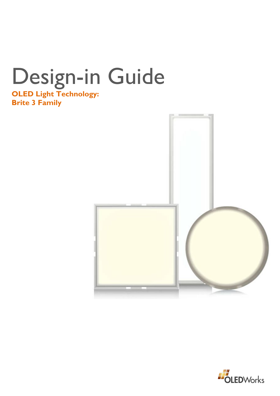# Design-in Guide **OLED Light Technology:**

**Brite 3 Family**



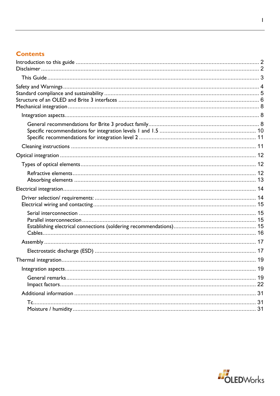# **Contents**

| 19 |
|----|
|    |
|    |
|    |

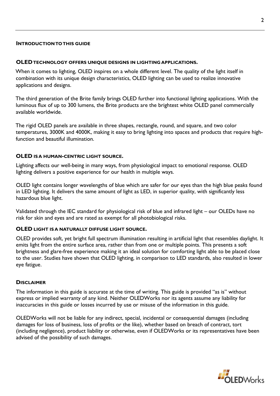## <span id="page-2-0"></span>**INTRODUCTION TO THIS GUIDE**

#### **OLEDTECHNOLOGY OFFERS UNIQUE DESIGNS IN LIGHTING APPLICATIONS.**

When it comes to lighting, OLED inspires on a whole different level. The quality of the light itself in combination with its unique design characteristics, OLED lighting can be used to realize innovative applications and designs.

The third generation of the Brite family brings OLED further into functional lighting applications. With the luminous flux of up to 300 lumens, the Brite products are the brightest white OLED panel commercially available worldwide.

The rigid OLED panels are available in three shapes, rectangle, round, and square, and two color temperatures, 3000K and 4000K, making it easy to bring lighting into spaces and products that require highfunction and beautiful illumination.

#### **OLED IS A HUMAN-CENTRIC LIGHT SOURCE.**

Lighting affects our well-being in many ways, from physiological impact to emotional response. OLED lighting delivers a positive experience for our health in multiple ways.

OLED light contains longer wavelengths of blue which are safer for our eyes than the high blue peaks found in LED lighting. It delivers the same amount of light as LED, in superior quality, with significantly less hazardous blue light.

Validated through the IEC standard for physiological risk of blue and infrared light – our OLEDs have no risk for skin and eyes and are rated as exempt for all photobiological risks.

#### **OLED LIGHT IS A NATURALLY DIFFUSE LIGHT SOURCE.**

OLED provides soft, yet bright full spectrum illumination resulting in artificial light that resembles daylight. It emits light from the entire surface area, rather than from one or multiple points. This presents a soft brightness and glare-free experience making it an ideal solution for comforting light able to be placed close to the user. Studies have shown that OLED lighting, in comparison to LED standards, also resulted in lower eye fatigue.

#### <span id="page-2-1"></span>**DISCLAIMER**

The information in this guide is accurate at the time of writing. This guide is provided "as is" without express or implied warranty of any kind. Neither OLEDWorks nor its agents assume any liability for inaccuracies in this guide or losses incurred by use or misuse of the information in this guide.

OLEDWorks will not be liable for any indirect, special, incidental or consequential damages (including damages for loss of business, loss of profits or the like), whether based on breach of contract, tort (including negligence), product liability or otherwise, even if OLEDWorks or its representatives have been advised of the possibility of such damages.

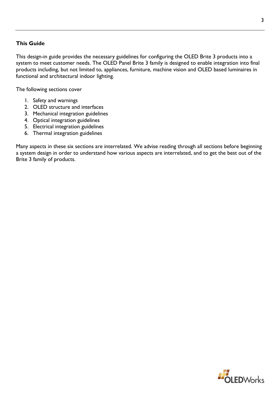## <span id="page-3-0"></span>**This Guide**

This design-in guide provides the necessary guidelines for configuring the OLED Brite 3 products into a system to meet customer needs. The OLED Panel Brite 3 family is designed to enable integration into final products including, but not limited to, appliances, furniture, machine vision and OLED based luminaires in functional and architectural indoor lighting.

The following sections cover

- 1. Safety and warnings
- 2. OLED structure and interfaces
- 3. Mechanical integration guidelines
- 4. Optical integration guidelines
- 5. Electrical integration guidelines
- 6. Thermal integration guidelines

Many aspects in these six sections are interrelated. We advise reading through all sections before beginning a system design in order to understand how various aspects are interrelated, and to get the best out of the Brite 3 family of products.

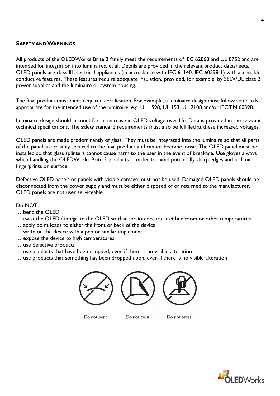## <span id="page-4-0"></span>**SAFETY AND WARNINGS**

All products of the OLEDWorks Brite 3 family meet the requirements of IEC 62868 and UL 8752 and are intended for integration into luminaires, et al. Details are provided in the relevant product datasheets. OLED panels are class III electrical appliances (in accordance with IEC 61140, IEC 60598-1) with accessible conductive features. These features require adequate insulation, provided, for example, by SELV/UL class 2 power supplies and the luminaire or system housing.

The final product must meet required certification. For example, a luminaire design must follow standards appropriate for the intended use of the luminaire, e.g. UL 1598, UL 153, UL 2108 and/or IEC/EN 60598.

Luminaire design should account for an increase in OLED voltage over life. Data is provided in the relevant technical specifications. The safety standard requirements must also be fulfilled at these increased voltages.

OLED panels are made predominantly of glass. They must be integrated into the luminaire so that all parts of the panel are reliably secured to the final product and cannot become loose. The OLED panel must be installed so that glass splinters cannot cause harm to the user in the event of breakage. Use gloves always when handling the OLEDWorks Brite 3 products in order to avoid potentially sharp edges and to limit fingerprints on surface.

Defective OLED panels or panels with visible damage must not be used. Damaged OLED panels should be disconnected from the power supply and must be either disposed of or returned to the manufacturer. OLED panels are not user serviceable.

## Do NOT…

- … bend the OLED
- … twist the OLED / integrate the OLED so that torsion occurs at either room or other temperatures
- … apply point loads to either the front or back of the device
- … write on the device with a pen or similar implement
- … expose the device to high temperatures
- … use defective products
- … use products that have been dropped, even if there is no visible alteration
- … use products that something has been dropped upon, even if there is no visible alteration



Do not bend

Do not twist

Do not press

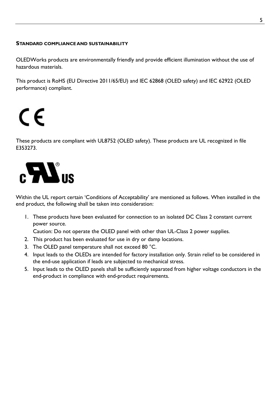## <span id="page-5-0"></span>**STANDARD COMPLIANCE AND SUSTAINABILITY**

OLEDWorks products are environmentally friendly and provide efficient illumination without the use of hazardous materials.

This product is RoHS (EU Directive 2011/65/EU) and IEC 62868 (OLED safety) and IEC 62922 (OLED performance) compliant.

C E

These products are compliant with UL8752 (OLED safety). These products are UL recognized in file E353273.



Within the UL report certain 'Conditions of Acceptability' are mentioned as follows. When installed in the end product, the following shall be taken into consideration:

1. These products have been evaluated for connection to an isolated DC Class 2 constant current power source.

Caution: Do not operate the OLED panel with other than UL-Class 2 power supplies.

- 2. This product has been evaluated for use in dry or damp locations.
- 3. The OLED panel temperature shall not exceed 80 °C.
- 4. Input leads to the OLEDs are intended for factory installation only. Strain relief to be considered in the end-use application if leads are subjected to mechanical stress.
- 5. Input leads to the OLED panels shall be sufficiently separated from higher voltage conductors in the end-product in compliance with end-product requirements.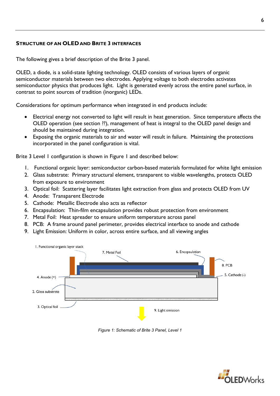## <span id="page-6-0"></span>**STRUCTURE OF AN OLED AND BRITE 3 INTERFACES**

The following gives a brief description of the Brite 3 panel.

OLED, a diode, is a solid-state lighting technology. OLED consists of various layers of organic semiconductor materials between two electrodes. Applying voltage to both electrodes activates semiconductor physics that produces light. Light is generated evenly across the entire panel surface, in contrast to point sources of tradition (inorganic) LEDs.

Considerations for optimum performance when integrated in end products include:

- Electrical energy not converted to light will result in heat generation. Since temperature affects the OLED operation (see section ??), management of heat is integral to the OLED panel design and should be maintained during integration.
- Exposing the organic materials to air and water will result in failure. Maintaining the protections incorporated in the panel configuration is vital.

Brite 3 Level 1 configuration is shown in Figure 1 and described below:

- 1. Functional organic layer: semiconductor carbon-based materials formulated for white light emission
- 2. Glass substrate: Primary structural element, transparent to visible wavelengths, protects OLED from exposure to environment
- 3. Optical foil: Scattering layer facilitates light extraction from glass and protects OLED from UV
- 4. Anode: Transparent Electrode
- 5. Cathode: Metallic Electrode also acts as reflector
- 6. Encapsulation: Thin-film encapsulation provides robust protection from environment
- 7. Metal Foil: Heat spreader to ensure uniform temperature across panel
- 8. PCB: A frame around panel perimeter, provides electrical interface to anode and cathode
- 9. Light Emission: Uniform in color, across entire surface, and all viewing angles



*Figure 1: Schematic of Brite 3 Panel, Level 1*

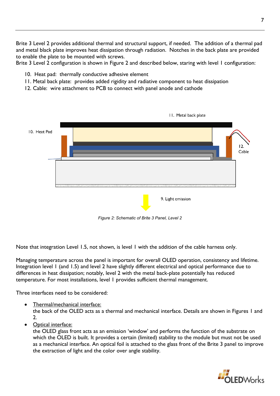Brite 3 Level 2 provides additional thermal and structural support, if needed. The addition of a thermal pad and metal black plate improves heat dissipation through radiation. Notches in the back plate are provided to enable the plate to be mounted with screws.

Brite 3 Level 2 configuration is shown in Figure 2 and described below, staring with level 1 configuration:

- 10. Heat pad: thermally conductive adhesive element
- 11. Metal back plate: provides added rigidity and radiative component to heat dissipation
- 12. Cable: wire attachment to PCB to connect with panel anode and cathode



*Figure 2: Schematic of Brite 3 Panel, Level 2*

Note that integration Level 1.5, not shown, is level 1 with the addition of the cable harness only.

Managing temperature across the panel is important for overall OLED operation, consistency and lifetime. Integration level 1 (and 1.5) and level 2 have slightly different electrical and optical performance due to differences in heat dissipation; notably, level 2 with the metal back-plate potentially has reduced temperature. For most installations, level 1 provides sufficient thermal management.

Three interfaces need to be considered:

• Thermal/mechanical interface:

the back of the OLED acts as a thermal and mechanical interface. Details are shown in Figures 1 and 2.

• Optical interface:

the OLED glass front acts as an emission 'window' and performs the function of the substrate on which the OLED is built. It provides a certain (limited) stability to the module but must not be used as a mechanical interface. An optical foil is attached to the glass front of the Brite 3 panel to improve the extraction of light and the color over angle stability.

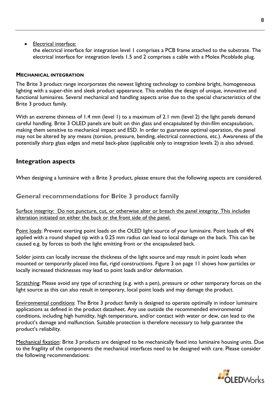## • Electrical interface:

the electrical interface for integration level 1 comprises a PCB frame attached to the substrate. The electrical interface for integration levels 1.5 and 2 comprises a cable with a Molex Picoblade plug.

## <span id="page-8-0"></span>**MECHANICAL INTEGRATION**

The Brite 3 product range incorporates the newest lighting technology to combine bright, homogeneous lighting with a super-thin and sleek product appearance. This enables the design of unique, innovative and functional luminaires. Several mechanical and handling aspects arise due to the special characteristics of the Brite 3 product family.

With an extreme thinness of 1.4 mm (level 1) to a maximum of 2.1 mm (level 2) the light panels demand careful handling. Brite 3 OLED panels are built on thin glass and encapsulated by thin-film encapsulation, making them sensitive to mechanical impact and ESD. In order to guarantee optimal operation, the panel may not be altered by any means (torsion, pressure, bending, electrical connections, etc.). Awareness of the potentially sharp glass edges and metal back-plate (applicable only to integration levels 2) is also advised.

## <span id="page-8-1"></span>**Integration aspects**

When designing a luminaire with a Brite 3 product, please ensure that the following aspects are considered.

## <span id="page-8-2"></span>**General recommendations for Brite 3 product family**

Surface integrity: Do not puncture, cut, or otherwise alter or breach the panel integrity. This includes alteration initiated on either the back or the front side of the panel.

Point loads: Prevent exerting point loads on the OLED light source of your luminaire. Point loads of 4N applied with a round shaped tip with a 0.25 mm radius can lead to local damage on the back. This can be caused e.g. by forces to both the light emitting front or the encapsulated back.

Solder joints can locally increase the thickness of the light source and may result in point loads when mounted or temporarily placed into flat, rigid constructions. Figure 3 on page 11 shows how particles or locally increased thicknesses may lead to point loads and/or deformation.

Scratching: Please avoid any type of scratching (e.g. with a pen), pressure or other temporary forces on the light source as this can also result in temporary, local point loads and may damage the product.

Environmental conditions: The Brite 3 product family is designed to operate optimally in indoor luminaire applications as defined in the product datasheet. Any use outside the recommended environmental conditions, including high humidity, high temperature, and/or contact with water or dew, can lead to the product's damage and malfunction. Suitable protection is therefore necessary to help guarantee the product's reliability.

Mechanical fixation: Brite 3 products are designed to be mechanically fixed into luminaire housing units. Due to the fragility of the components the mechanical interfaces need to be designed with care. Please consider the following recommendations:

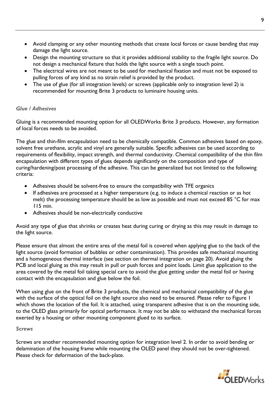- Avoid clamping or any other mounting methods that create local forces or cause bending that may damage the light source.
- Design the mounting structure so that it provides additional stability to the fragile light source. Do not design a mechanical fixture that holds the light source with a single touch point.
- The electrical wires are not meant to be used for mechanical fixation and must not be exposed to pulling forces of any kind as no strain relief is provided by the product.
- The use of glue (for all integration levels) or screws (applicable only to integration level 2) is recommended for mounting Brite 3 products to luminaire housing units.

## *Glue / Adhesives*

Gluing is a recommended mounting option for all OLEDWorks Brite 3 products. However, any formation of local forces needs to be avoided.

The glue and thin-film encapsulation need to be chemically compatible. Common adhesives based on epoxy, solvent free urethane, acrylic and vinyl are generally suitable. Specific adhesives can be used according to requirements of flexibility, impact strength, and thermal conductivity. Chemical compatibility of the thin film encapsulation with different types of glues depends significantly on the composition and type of curing/hardening/post processing of the adhesive. This can be generalized but not limited to the following criteria:

- Adhesives should be solvent-free to ensure the compatibility with TFE organics
- If adhesives are processed at a higher temperature (e.g. to induce a chemical reaction or as hot melt) the processing temperature should be as low as possible and must not exceed 85 °C for max 115 min.
- Adhesives should be non-electrically conductive

Avoid any type of glue that shrinks or creates heat during curing or drying as this may result in damage to the light source.

Please ensure that almost the entire area of the metal foil is covered when applying glue to the back of the light source (avoid formation of bubbles or other contamination). This provides safe mechanical mounting and a homogeneous thermal interface (see section on thermal integration on page 20). Avoid gluing the PCB and local gluing as this may result in pull or push forces and point loads. Limit glue application to the area covered by the metal foil taking special care to avoid the glue getting under the metal foil or having contact with the encapsulation and glue below the foil.

When using glue on the front of Brite 3 products, the chemical and mechanical compatibility of the glue with the surface of the optical foil on the light source also need to be ensured. Please refer to Figure 1 which shows the location of the foil. It is attached, using transparent adhesive that is on the mounting side, to the OLED glass primarily for optical performance. It may not be able to withstand the mechanical forces exerted by a housing or other mounting component glued to its surface.

## *Screws*

Screws are another recommended mounting option for integration level 2. In order to avoid bending or delamination of the housing frame while mounting the OLED panel they should not be over-tightened. Please check for deformation of the back-plate.

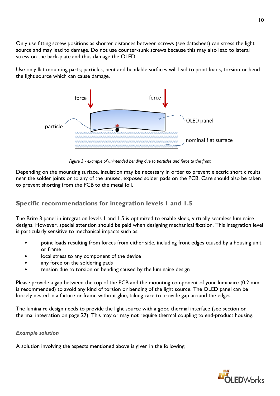Only use fitting screw positions as shorter distances between screws (see datasheet) can stress the light source and may lead to damage. Do not use counter-sunk screws because this may also lead to lateral stress on the back-plate and thus damage the OLED.

Use only flat mounting parts; particles, bent and bendable surfaces will lead to point loads, torsion or bend the light source which can cause damage.



*Figure 3 - example of unintended bending due to particles and force to the front*

Depending on the mounting surface, insulation may be necessary in order to prevent electric short circuits near the solder joints or to any of the unused, exposed solder pads on the PCB. Care should also be taken to prevent shorting from the PCB to the metal foil.

# <span id="page-10-0"></span>**Specific recommendations for integration levels 1 and 1.5**

The Brite 3 panel in integration levels 1 and 1.5 is optimized to enable sleek, virtually seamless luminaire designs. However, special attention should be paid when designing mechanical fixation. This integration level is particularly sensitive to mechanical impacts such as:

- point loads resulting from forces from either side, including front edges caused by a housing unit or frame
- local stress to any component of the device
- any force on the soldering pads
- tension due to torsion or bending caused by the luminaire design

Please provide a gap between the top of the PCB and the mounting component of your luminaire (0.2 mm is recommended) to avoid any kind of torsion or bending of the light source. The OLED panel can be loosely nested in a fixture or frame without glue, taking care to provide gap around the edges.

The luminaire design needs to provide the light source with a good thermal interface (see section on thermal integration on page 27). This may or may not require thermal coupling to end-product housing.

## *Example solution*

A solution involving the aspects mentioned above is given in the following:

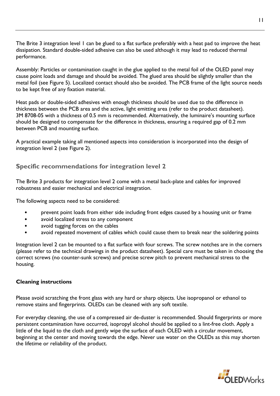The Brite 3 integration level 1 can be glued to a flat surface preferably with a heat pad to improve the heat dissipation. Standard double-sided adhesive can also be used although it may lead to reduced thermal performance.

Assembly: Particles or contamination caught in the glue applied to the metal foil of the OLED panel may cause point loads and damage and should be avoided. The glued area should be slightly smaller than the metal foil (see Figure 5). Localized contact should also be avoided. The PCB frame of the light source needs to be kept free of any fixation material.

Heat pads or double-sided adhesives with enough thickness should be used due to the difference in thickness between the PCB area and the active, light emitting area (refer to the product datasheet). 3M 8708-05 with a thickness of 0.5 mm is recommended. Alternatively, the luminaire's mounting surface should be designed to compensate for the difference in thickness, ensuring a required gap of 0.2 mm between PCB and mounting surface.

A practical example taking all mentioned aspects into consideration is incorporated into the design of integration level 2 (see Figure 2).

# <span id="page-11-0"></span>**Specific recommendations for integration level 2**

The Brite 3 products for integration level 2 come with a metal back-plate and cables for improved robustness and easier mechanical and electrical integration.

The following aspects need to be considered:

- Prevent point loads from either side including front edges caused by a housing unit or frame
- avoid localized stress to any component
- avoid tugging forces on the cables
- avoid repeated movement of cables which could cause them to break near the soldering points

Integration level 2 can be mounted to a flat surface with four screws. The screw notches are in the corners (please refer to the technical drawings in the product datasheet). Special care must be taken in choosing the correct screws (no counter-sunk screws) and precise screw pitch to prevent mechanical stress to the housing.

## <span id="page-11-1"></span>**Cleaning instructions**

Please avoid scratching the front glass with any hard or sharp objects. Use isopropanol or ethanol to remove stains and fingerprints. OLEDs can be cleaned with any soft textile.

For everyday cleaning, the use of a compressed air de-duster is recommended. Should fingerprints or more persistent contamination have occurred, isopropyl alcohol should be applied to a lint-free cloth. Apply a little of the liquid to the cloth and gently wipe the surface of each OLED with a circular movement, beginning at the center and moving towards the edge. Never use water on the OLEDs as this may shorten the lifetime or reliability of the product.

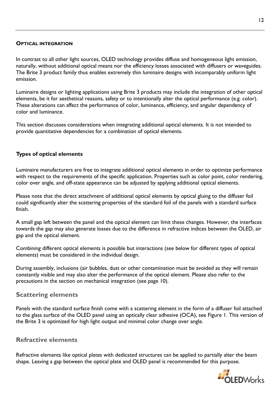## <span id="page-12-0"></span>**OPTICAL INTEGRATION**

In contrast to all other light sources, OLED technology provides diffuse and homogeneous light emission, naturally, without additional optical means nor the efficiency losses associated with diffusers or waveguides. The Brite 3 product family thus enables extremely thin luminaire designs with incomparably uniform light emission.

Luminaire designs or lighting applications using Brite 3 products may include the integration of other optical elements, be it for aesthetical reasons, safety or to intentionally alter the optical performance (e.g. color). These alterations can affect the performance of color, luminance, efficiency, and angular dependency of color and luminance.

This section discusses considerations when integrating additional optical elements. It is not intended to provide quantitative dependencies for a combination of optical elements.

## <span id="page-12-1"></span>**Types of optical elements**

Luminaire manufacturers are free to integrate additional optical elements in order to optimize performance with respect to the requirements of the specific application. Properties such as color point, color rendering, color over angle, and off-state appearance can be adjusted by applying additional optical elements.

Please note that the direct attachment of additional optical elements by optical gluing to the diffuser foil could significantly alter the scattering properties of the standard foil of the panels with a standard surface finish.

A small gap left between the panel and the optical element can limit these changes. However, the interfaces towards the gap may also generate losses due to the difference in refractive indices between the OLED, air gap and the optical element.

Combining different optical elements is possible but interactions (see below for different types of optical elements) must be considered in the individual design.

During assembly, inclusions (air bubbles, dust or other contamination must be avoided as they will remain constantly visible and may also alter the performance of the optical element. Please also refer to the precautions in the section on mechanical integration (see page 10).

## **Scattering elements**

Panels with the standard surface finish come with a scattering element in the form of a diffuser foil attached to the glass surface of the OLED panel using an optically clear adhesive (OCA), see Figure 1. This version of the Brite 3 is optimized for high light output and minimal color change over angle.

## <span id="page-12-2"></span>**Refractive elements**

Refractive elements like optical plates with dedicated structures can be applied to partially alter the beam shape. Leaving a gap between the optical plate and OLED panel is recommended for this purpose.

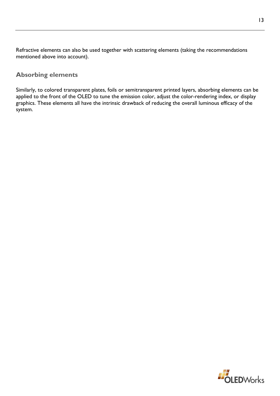Refractive elements can also be used together with scattering elements (taking the recommendations mentioned above into account).

## <span id="page-13-0"></span>**Absorbing elements**

Similarly, to colored transparent plates, foils or semitransparent printed layers, absorbing elements can be applied to the front of the OLED to tune the emission color, adjust the color-rendering index, or display graphics. These elements all have the intrinsic drawback of reducing the overall luminous efficacy of the system.

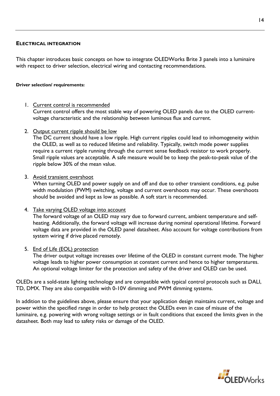## <span id="page-14-0"></span>**ELECTRICAL INTEGRATION**

This chapter introduces basic concepts on how to integrate OLEDWorks Brite 3 panels into a luminaire with respect to driver selection, electrical wiring and contacting recommendations.

#### <span id="page-14-1"></span>**Driver selection/ requirements:**

## 1. Current control is recommended

Current control offers the most stable way of powering OLED panels due to the OLED currentvoltage characteristic and the relationship between luminous flux and current.

2. Output current ripple should be low

The DC current should have a low ripple. High current ripples could lead to inhomogeneity within the OLED, as well as to reduced lifetime and reliability. Typically, switch mode power supplies require a current ripple running through the current sense feedback resistor to work properly. Small ripple values are acceptable. A safe measure would be to keep the peak-to-peak value of the ripple below 30% of the mean value.

3. Avoid transient overshoot

When turning OLED and power supply on and off and due to other transient conditions, e.g. pulse width modulation (PWM) switching, voltage and current overshoots may occur. These overshoots should be avoided and kept as low as possible. A soft start is recommended.

4. Take varying OLED voltage into account

The forward voltage of an OLED may vary due to forward current, ambient temperature and selfheating. Additionally, the forward voltage will increase during nominal operational lifetime. Forward voltage data are provided in the OLED panel datasheet. Also account for voltage contributions from system wiring if drive placed remotely.

5. End of Life (EOL) protection

The driver output voltage increases over lifetime of the OLED in constant current mode. The higher voltage leads to higher power consumption at constant current and hence to higher temperatures. An optional voltage limiter for the protection and safety of the driver and OLED can be used.

OLEDs are a sold-state lighting technology and are compatible with typical control protocols such as DALI, TD, DMX. They are also compatible with 0-10V dimming and PWM dimming systems.

In addition to the guidelines above, please ensure that your application design maintains current, voltage and power within the specified range in order to help protect the OLEDs even in case of misuse of the luminaire, e.g. powering with wrong voltage settings or in fault conditions that exceed the limits given in the datasheet. Both may lead to safety risks or damage of the OLED.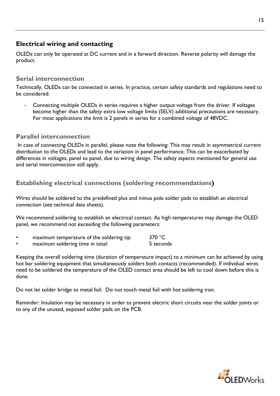# <span id="page-15-0"></span>**Electrical wiring and contacting**

OLEDs can only be operated at DC current and in a forward direction. Reverse polarity will damage the product.

## <span id="page-15-1"></span>**Serial interconnection**

Technically, OLEDs can be connected in series. In practice, certain safety standards and regulations need to be considered:

Connecting multiple OLEDs in series requires a higher output voltage from the driver. If voltages become higher than the safety extra low voltage limits (SELV) additional precautions are necessary. For most applications the limit is 2 panels in series for a combined voltage of 48VDC.

## <span id="page-15-2"></span>**Parallel interconnection**

In case of connecting OLEDs in parallel, please note the following: This may result in asymmetrical current distribution to the OLEDs and lead to the variation in panel performance. This can be exacerbated by differences in voltages, panel to panel, due to wiring design. The safety aspects mentioned for general use and serial interconnection still apply.

# <span id="page-15-3"></span>**Establishing electrical connections (soldering recommendations)**

Wires should be soldered to the predefined plus and minus pole solder pads to establish an electrical connection (see technical data sheets).

We recommend soldering to establish an electrical contact. As high temperatures may damage the OLED panel, we recommend not exceeding the following parameters:

- maximum temperature of the soldering tip: 370 °C
- maximum soldering time in total: 5 seconds

Keeping the overall soldering time (duration of temperature impact) to a minimum can be achieved by using hot bar soldering equipment that simultaneously solders both contacts (recommended). If individual wires need to be soldered the temperature of the OLED contact area should be left to cool down before this is done.

Do not let solder bridge to metal foil. Do not touch metal foil with hot soldering iron.

Reminder: Insulation may be necessary in order to prevent electric short circuits near the solder joints or to any of the unused, exposed solder pads on the PCB.

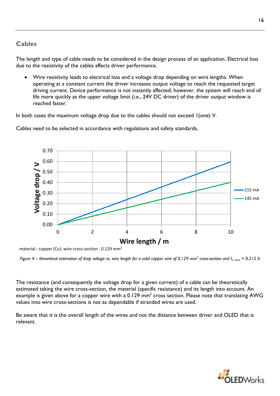# <span id="page-16-0"></span>**Cables**

The length and type of cable needs to be considered in the design process of an application. Electrical loss due to the resistivity of the cables affects driver performance.

• Wire resistivity leads to electrical loss and a voltage drop depending on wire lengths. When operating at a constant current the driver increases output voltage to reach the requested target driving current. Device performance is not instantly affected; however, the system will reach end of life more quickly as the upper voltage limit (i.e., 24V DC driver) of the driver output window is reached faster.

In both cases the maximum voltage drop due to the cables should not exceed 1(one) V.

Cables need to be selected in accordance with regulations and safety standards.



*Figure 4 – theoretical estimation of drop voltage vs. wire length for a solid copper wire of 0.129 mm<sup>2</sup> cross-section and I<sub>in rated</sub> = 0.215 A* 

The resistance (and consequently the voltage drop for a given current) of a cable can be theoretically estimated taking the wire cross-section, the material (specific resistance) and its length into account. An example is given above for a copper wire with a  $0.129$  mm<sup>2</sup> cross section. Please note that translating AWG values into wire cross-sections is not as dependable if stranded wires are used.

Be aware that it is the overall length of the wires and not the distance between driver and OLED that is relevant.

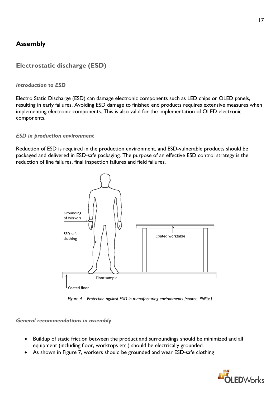# <span id="page-17-0"></span>**Assembly**

# <span id="page-17-1"></span>**Electrostatic discharge (ESD)**

## *Introduction to ESD*

Electro Static Discharge (ESD) can damage electronic components such as LED chips or OLED panels, resulting in early failures. Avoiding ESD damage to finished end products requires extensive measures when implementing electronic components. This is also valid for the implementation of OLED electronic components.

## *ESD in production environment*

Reduction of ESD is required in the production environment, and ESD-vulnerable products should be packaged and delivered in ESD-safe packaging. The purpose of an effective ESD control strategy is the reduction of line failures, final inspection failures and field failures.



*Figure 4 – Protection against ESD in manufacturing environments [source: Philips]*

## <span id="page-17-2"></span>*General recommendations in assembly*

- Buildup of static friction between the product and surroundings should be minimized and all equipment (including floor, worktops etc.) should be electrically grounded.
- As shown in [Figure 7,](#page-17-2) workers should be grounded and wear ESD-safe clothing

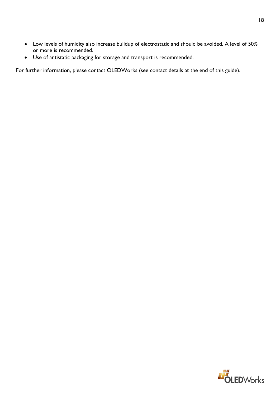- Low levels of humidity also increase buildup of electrostatic and should be avoided. A level of 50% or more is recommended.
- Use of antistatic packaging for storage and transport is recommended.

For further information, please contact OLEDWorks (see contact details at the end of this guide).

18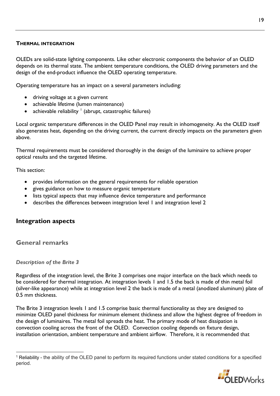## <span id="page-19-0"></span>**THERMAL INTEGRATION**

OLEDs are solid-state lighting components. Like other electronic components the behavior of an OLED depends on its thermal state. The ambient temperature conditions, the OLED driving parameters and the design of the end-product influence the OLED operating temperature.

Operating temperature has an impact on a several parameters including:

- driving voltage at a given current
- achievable lifetime (lumen maintenance)
- achievable reliability  $\frac{1}{2}$  $\frac{1}{2}$  $\frac{1}{2}$  (abrupt, catastrophic failures)

Local organic temperature differences in the OLED Panel may result in inhomogeneity. As the OLED itself also generates heat, depending on the driving current, the current directly impacts on the parameters given above.

Thermal requirements must be considered thoroughly in the design of the luminaire to achieve proper optical results and the targeted lifetime.

This section:

- provides information on the general requirements for reliable operation
- gives guidance on how to measure organic temperature
- lists typical aspects that may influence device temperature and performance
- describes the differences between integration level 1 and integration level 2

## <span id="page-19-1"></span>**Integration aspects**

<span id="page-19-2"></span>**General remarks**

## *Description of the Brite 3*

Regardless of the integration level, the Brite 3 comprises one major interface on the back which needs to be considered for thermal integration. At integration levels 1 and 1.5 the back is made of thin metal foil (silver-like appearance) while at integration level 2 the back is made of a metal (anodized aluminum) plate of 0.5 mm thickness.

The Brite 3 integration levels 1 and 1.5 comprise basic thermal functionality as they are designed to minimize OLED panel thickness for minimum element thickness and allow the highest degree of freedom in the design of luminaires. The metal foil spreads the heat. The primary mode of heat dissipation is convection cooling across the front of the OLED. Convection cooling depends on fixture design, installation orientation, ambient temperature and ambient airflow. Therefore, it is recommended that

<span id="page-19-3"></span><sup>1</sup> Reliability - the ability of the OLED panel to perform its required functions under stated conditions for a specified period.

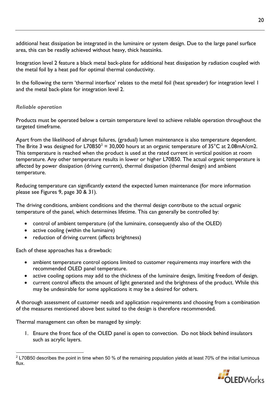additional heat dissipation be integrated in the luminaire or system design. Due to the large panel surface area, this can be readily achieved without heavy, thick heatsinks.

Integration level 2 feature a black metal back-plate for additional heat dissipation by radiation coupled with the metal foil by a heat pad for optimal thermal conductivity.

In the following the term 'thermal interface' relates to the metal foil (heat spreader) for integration level 1 and the metal back-plate for integration level 2.

## *Reliable operation*

Products must be operated below a certain temperature level to achieve reliable operation throughout the targeted timeframe.

Apart from the likelihood of abrupt failures, (gradual) lumen maintenance is also temperature dependent. The Brite 3 was designed for L70B50<sup>[2](#page-20-0)</sup> = 30,000 hours at an organic temperature of  $35^{\circ}$ C at 2.08mA/cm2. This temperature is reached when the product is used at the rated current in vertical position at room temperature. Any other temperature results in lower or higher L70B50. The actual organic temperature is affected by power dissipation (driving current), thermal dissipation (thermal design) and ambient temperature.

Reducing temperature can significantly extend the expected lumen maintenance (for more information please see Figures 9, page 30 & 31).

The driving conditions, ambient conditions and the thermal design contribute to the actual organic temperature of the panel, which determines lifetime. This can generally be controlled by:

- control of ambient temperature (of the luminaire, consequently also of the OLED)
- active cooling (within the luminaire)
- reduction of driving current (affects brightness)

Each of these approaches has a drawback:

- ambient temperature control options limited to customer requirements may interfere with the recommended OLED panel temperature.
- active cooling options may add to the thickness of the luminaire design, limiting freedom of design.
- current control affects the amount of light generated and the brightness of the product. While this may be undesirable for some applications it may be a desired for others.

A thorough assessment of customer needs and application requirements and choosing from a combination of the measures mentioned above best suited to the design is therefore recommended.

Thermal management can often be managed by simply:

1. Ensure the front face of the OLED panel is open to convection. Do not block behind insulators such as acrylic layers.

<span id="page-20-0"></span> $2$  L70B50 describes the point in time when 50 % of the remaining population yields at least 70% of the initial luminous flux.

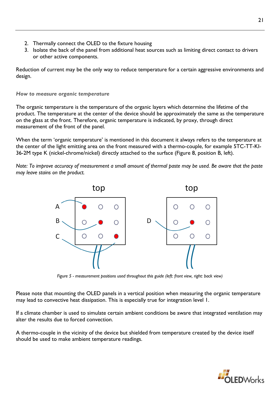- 2. Thermally connect the OLED to the fixture housing
- 3. Isolate the back of the panel from additional heat sources such as limiting direct contact to drivers or other active components.

Reduction of current may be the only way to reduce temperature for a certain aggressive environments and design.

## *How to measure organic temperature*

The organic temperature is the temperature of the organic layers which determine the lifetime of the product. The temperature at the center of the device should be approximately the same as the temperature on the glass at the front. Therefore, organic temperature is indicated, by proxy, through direct measurement of the front of the panel.

When the term 'organic temperature' is mentioned in this document it always refers to the temperature at the center of the light emitting area on the front measured with a thermo-couple, for example 5TC-TT-KI-36-2M type K (nickel-chrome/nickel) directly attached to the surface [\(Figure 8,](#page-21-0) position B, left).

*Note: To improve accuracy of measurement a small amount of thermal paste may be used. Be aware that the paste may leave stains on the product.* 



*Figure 5 - measurement positions used throughout this guide (left: front view, right: back view)*

<span id="page-21-0"></span>Please note that mounting the OLED panels in a vertical position when measuring the organic temperature may lead to convective heat dissipation. This is especially true for integration level 1.

If a climate chamber is used to simulate certain ambient conditions be aware that integrated ventilation may alter the results due to forced convection.

A thermo-couple in the vicinity of the device but shielded from temperature created by the device itself should be used to make ambient temperature readings.

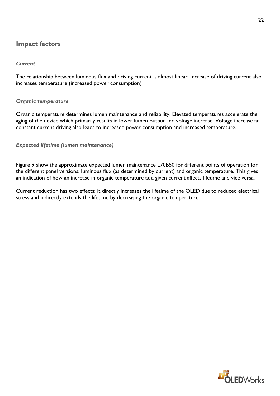# <span id="page-22-0"></span>**Impact factors**

## *Current*

The relationship between luminous flux and driving current is almost linear. Increase of driving current also increases temperature (increased power consumption)

## *Organic temperature*

Organic temperature determines lumen maintenance and reliability. Elevated temperatures accelerate the aging of the device which primarily results in lower lumen output and voltage increase. Voltage increase at constant current driving also leads to increased power consumption and increased temperature.

## *Expected lifetime (lumen maintenance)*

[Figure](#page-23-0) 9 show the approximate expected lumen maintenance L70B50 for different points of operation for the different panel versions: luminous flux (as determined by current) and organic temperature. This gives an indication of how an increase in organic temperature at a given current affects lifetime and vice versa.

Current reduction has two effects: It directly increases the lifetime of the OLED due to reduced electrical stress and indirectly extends the lifetime by decreasing the organic temperature.

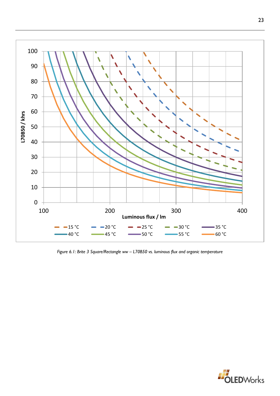

<span id="page-23-0"></span>*Figure 6.1: Brite 3 Square/Rectangle ww – L70B50 vs. luminous flux and organic temperature*

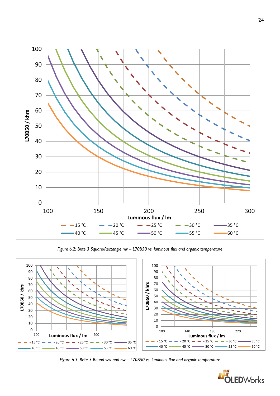

*Figure 6.2: Brite 3 Square/Rectangle nw – L70B50 vs. luminous flux and organic temperature*



*Figure 6.3: Brite 3 Round ww and nw – L70B50 vs. luminous flux and organic temperature*

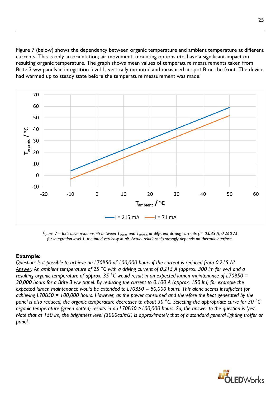[Figure](#page-25-0) 7 (below) shows the dependency between organic temperature and ambient temperature at different currents. This is only an orientation; air movement, mounting options etc. have a significant impact on resulting organic temperature. The graph shows mean values of temperature measurements taken from Brite 3 ww panels in integration level 1, vertically mounted and measured at spot B on the front. The device had warmed up to steady state before the temperature measurement was made.



<span id="page-25-0"></span>*Figure* 7 – *Indicative relationship between*  $T_{organic}$  *and*  $T_{ambient}$  *at different driving currents* (*I*= 0.085 A, 0.260 A) *for integration level 1, mounted vertically in air. Actual relationship strongly depends on thermal interface.*

## **Example:**

*Question: Is it possible to achieve an L70B50 of 100,000 hours if the current is reduced from 0.215 A? Answer: An ambient temperature of 25 °C with a driving current of 0.215 A (approx. 300 lm for ww) and a resulting organic temperature of approx. 35 °C would result in an expected lumen maintenance of L70B50 = 30,000 hours for a Brite 3 ww panel. By reducing the current to 0.100 A (approx. 150 lm) for example the expected lumen maintenance would be extended to L70B50 = 80,000 hours. This alone seems insufficient for achieving L70B50 = 100,000 hours. However, as the power consumed and therefore the heat generated by the panel is also reduced, the organic temperature decreases to about 30 °C. Selecting the appropriate curve for 30 °C organic temperature (green dotted) results in an L70B50 >100,000 hours. So, the answer to the question is 'yes'. Note that at 150 lm, the brightness level (3000cd/m2) is approximately that of a standard general lighting troffer or panel.*

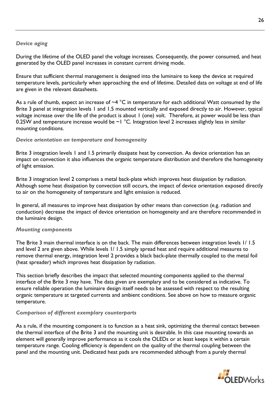## *Device aging*

During the lifetime of the OLED panel the voltage increases. Consequently, the power consumed, and heat generated by the OLED panel increases in constant current driving mode.

Ensure that sufficient thermal management is designed into the luminaire to keep the device at required temperature levels, particularly when approaching the end of lifetime. Detailed data on voltage at end of life are given in the relevant datasheets.

As a rule of thumb, expect an increase of  $-4$  °C in temperature for each additional Watt consumed by the Brite 3 panel at integration levels 1 and 1.5 mounted vertically and exposed directly to air. However, typical voltage increase over the life of the product is about 1 (one) volt. Therefore, at power would be less than 0.25W and temperature increase would be  $\sim$  I °C. Integration level 2 increases slightly less in similar mounting conditions.

## *Device orientation on temperature and homogeneity*

Brite 3 integration levels 1 and 1.5 primarily dissipate heat by convection. As device orientation has an impact on convection it also influences the organic temperature distribution and therefore the homogeneity of light emission.

Brite 3 integration level 2 comprises a metal back-plate which improves heat dissipation by radiation. Although some heat dissipation by convection still occurs, the impact of device orientation exposed directly to air on the homogeneity of temperature and light emission is reduced.

In general, all measures to improve heat dissipation by other means than convection (e.g. radiation and conduction) decrease the impact of device orientation on homogeneity and are therefore recommended in the luminaire design.

## *Mounting components*

The Brite 3 main thermal interface is on the back. The main differences between integration levels 1/ 1.5 and level 2 are given above. While levels 1/ 1.5 simply spread heat and require additional measures to remove thermal energy, integration level 2 provides a black back-plate thermally coupled to the metal foil (heat spreader) which improves heat dissipation by radiation.

This section briefly describes the impact that selected mounting components applied to the thermal interface of the Brite 3 may have. The data given are exemplary and to be considered as indicative. To ensure reliable operation the luminaire design itself needs to be assessed with respect to the resulting organic temperature at targeted currents and ambient conditions. See above on how to measure organic temperature.

## *Comparison of different exemplary counterparts*

As a rule, if the mounting component is to function as a heat sink, optimizing the thermal contact between the thermal interface of the Brite 3 and the mounting unit is desirable. In this case mounting towards an element will generally improve performance as it cools the OLEDs or at least keeps it within a certain temperature range. Cooling efficiency is dependent on the quality of the thermal coupling between the panel and the mounting unit. Dedicated heat pads are recommended although from a purely thermal

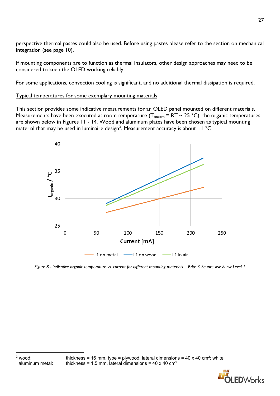perspective thermal pastes could also be used. Before using pastes please refer to the section on mechanical integration (see page 10).

If mounting components are to function as thermal insulators, other design approaches may need to be considered to keep the OLED working reliably.

For some applications, convection cooling is significant, and no additional thermal dissipation is required.

## Typical temperatures for some exemplary mounting materials

This section provides some indicative measurements for an OLED panel mounted on different materials. Measurements have been executed at room temperature ( $T_{\text{ambient}} = RT \sim 25 \text{ °C}$ ); the organic temperatures are shown below in Figures 11 - 14. Wood and aluminum plates have been chosen as typical mounting material that may be used in luminaire design<sup>[3](#page-27-0)</sup>. Measurement accuracy is about  $\pm 1$  °C.



<span id="page-27-0"></span>*Figure 8 - indicative organic temperature vs. current for different mounting materials – Brite 3 Square ww & nw Level 1*

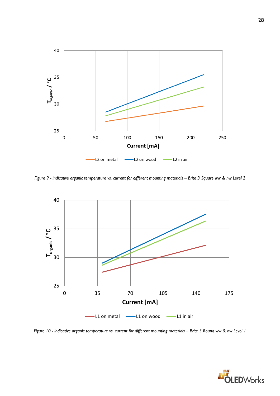

*Figure 9 - indicative organic temperature vs. current for different mounting materials – Brite 3 Square ww & nw Level 2*



*Figure 10 - indicative organic temperature vs. current for different mounting materials – Brite 3 Round ww & nw Level 1*

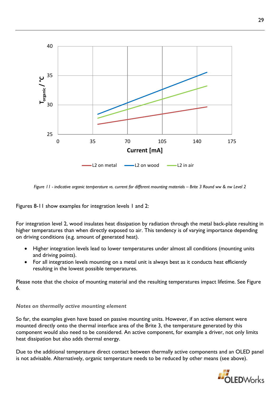

*Figure 11 - indicative organic temperature vs. current for different mounting materials – Brite 3 Round ww & nw Level 2*

Figures 8-11 show examples for integration levels 1 and 2:

For integration level 2, wood insulates heat dissipation by radiation through the metal back-plate resulting in higher temperatures than when directly exposed to air. This tendency is of varying importance depending on driving conditions (e.g. amount of generated heat).

- Higher integration levels lead to lower temperatures under almost all conditions (mounting units and driving points).
- For all integration levels mounting on a metal unit is always best as it conducts heat efficiently resulting in the lowest possible temperatures.

Please note that the choice of mounting material and the resulting temperatures impact lifetime. See Figure 6.

## *Notes on thermally active mounting element*

So far, the examples given have based on passive mounting units. However, if an active element were mounted directly onto the thermal interface area of the Brite 3, the temperature generated by this component would also need to be considered. An active component, for example a driver, not only limits heat dissipation but also adds thermal energy.

Due to the additional temperature direct contact between thermally active components and an OLED panel is not advisable. Alternatively, organic temperature needs to be reduced by other means (see above).

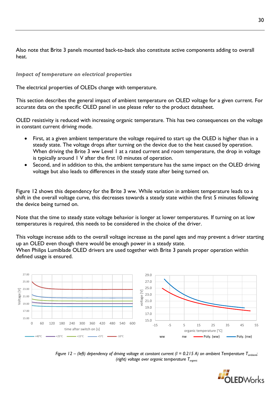Also note that Brite 3 panels mounted back-to-back also constitute active components adding to overall heat.

## *Impact of temperature on electrical properties*

The electrical properties of OLEDs change with temperature.

This section describes the general impact of ambient temperature on OLED voltage for a given current. For accurate data on the specific OLED panel in use please refer to the product datasheet.

OLED resistivity is reduced with increasing organic temperature. This has two consequences on the voltage in constant current driving mode.

- First, at a given ambient temperature the voltage required to start up the OLED is higher than in a steady state. The voltage drops after turning on the device due to the heat caused by operation. When driving the Brite 3 ww Level 1 at a rated current and room temperature, the drop in voltage is typically around 1 V after the first 10 minutes of operation.
- Second, and in addition to this, the ambient temperature has the same impac[t on the OLED driving](#page-30-0) [voltage but also leads to differences in the steady state after being turned on.](#page-30-0)

[Figure 1](#page-30-0)2 shows this dependency for the Brite 3 ww. While variation in ambient temperature leads to a shift in the overall voltage curve, this decreases towards a steady state within the first 5 minutes following the device being turned on.

Note that the time to steady state voltage behavior is longer at lower temperatures. If turning on at low temperatures is required, this needs to be considered in the choice of the driver.

This voltage increase adds to the overall voltage increase as the panel ages and may prevent a driver starting up an OLED even though there would be enough power in a steady state.

<span id="page-30-0"></span>When Philips Lumiblade OLED drivers are used together with Brite 3 panels proper operation within defined usage is ensured.



*Figure 12* – (left) dependency of driving voltage at constant current ( $I = 0.215$  A) on ambient Temperature T<sub>ambient</sub>; *(right) voltage over organic temperature Torganic*

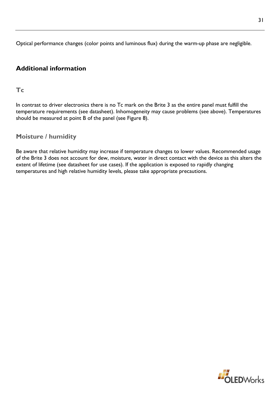Optical performance changes (color points and luminous flux) during the warm-up phase are negligible.

# <span id="page-31-0"></span>**Additional information**

# <span id="page-31-1"></span>**Tc**

In contrast to driver electronics there is no Tc mark on the Brite 3 as the entire panel must fulfill the temperature requirements (see datasheet). Inhomogeneity may cause problems (see above). Temperatures should be measured at point B of the panel (see [Figure 8\)](#page-21-0).

# <span id="page-31-2"></span>**Moisture / humidity**

Be aware that relative humidity may increase if temperature changes to lower values. Recommended usage of the Brite 3 does not account for dew, moisture, water in direct contact with the device as this alters the extent of lifetime (see datasheet for use cases). If the application is exposed to rapidly changing temperatures and high relative humidity levels, please take appropriate precautions.